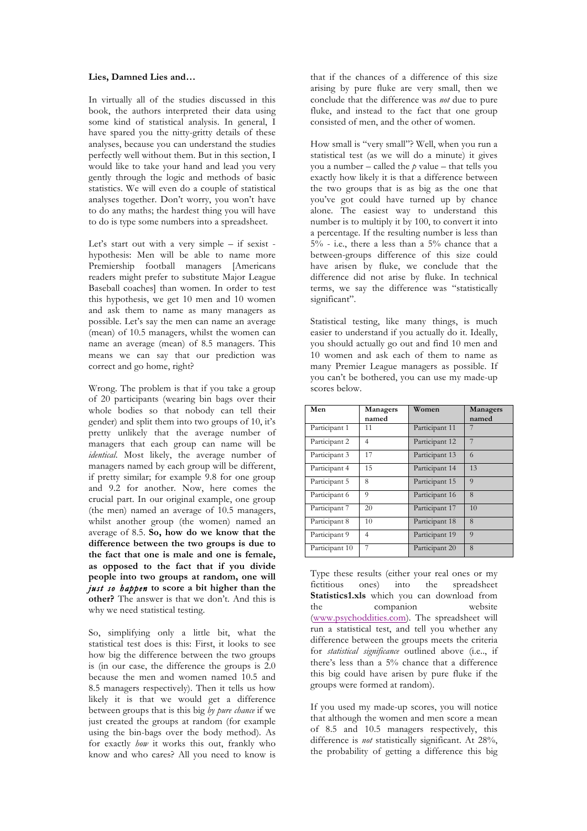## **Lies, Damned Lies and…**

In virtually all of the studies discussed in this book, the authors interpreted their data using some kind of statistical analysis. In general, I have spared you the nitty-gritty details of these analyses, because you can understand the studies perfectly well without them. But in this section, I would like to take your hand and lead you very gently through the logic and methods of basic statistics. We will even do a couple of statistical analyses together. Don't worry, you won't have to do any maths; the hardest thing you will have to do is type some numbers into a spreadsheet.

Let's start out with a very simple – if sexist hypothesis: Men will be able to name more Premiership football managers [Americans readers might prefer to substitute Major League Baseball coaches] than women. In order to test this hypothesis, we get 10 men and 10 women and ask them to name as many managers as possible. Let's say the men can name an average (mean) of 10.5 managers, whilst the women can name an average (mean) of 8.5 managers. This means we can say that our prediction was correct and go home, right?

Wrong. The problem is that if you take a group of 20 participants (wearing bin bags over their whole bodies so that nobody can tell their gender) and split them into two groups of 10, it's pretty unlikely that the average number of managers that each group can name will be *identical*. Most likely, the average number of managers named by each group will be different, if pretty similar; for example 9.8 for one group and 9.2 for another. Now, here comes the crucial part. In our original example, one group (the men) named an average of 10.5 managers, whilst another group (the women) named an average of 8.5. **So, how do we know that the difference between the two groups is due to the fact that one is male and one is female, as opposed to the fact that if you divide people into two groups at random, one will**  *just so happen* **to score a bit higher than the other?** The answer is that we don't. And this is why we need statistical testing.

So, simplifying only a little bit, what the statistical test does is this: First, it looks to see how big the difference between the two groups is (in our case, the difference the groups is 2.0 because the men and women named 10.5 and 8.5 managers respectively). Then it tells us how likely it is that we would get a difference between groups that is this big *by pure chance* if we just created the groups at random (for example using the bin-bags over the body method). As for exactly *how* it works this out, frankly who know and who cares? All you need to know is

that if the chances of a difference of this size arising by pure fluke are very small, then we conclude that the difference was *not* due to pure fluke, and instead to the fact that one group consisted of men, and the other of women.

How small is "very small"? Well, when you run a statistical test (as we will do a minute) it gives you a number – called the *p* value – that tells you exactly how likely it is that a difference between the two groups that is as big as the one that you've got could have turned up by chance alone. The easiest way to understand this number is to multiply it by 100, to convert it into a percentage. If the resulting number is less than 5% - i.e., there a less than a 5% chance that a between-groups difference of this size could have arisen by fluke, we conclude that the difference did not arise by fluke. In technical terms, we say the difference was "statistically significant".

Statistical testing, like many things, is much easier to understand if you actually do it. Ideally, you should actually go out and find 10 men and 10 women and ask each of them to name as many Premier League managers as possible. If you can't be bothered, you can use my made-up scores below.

| Men            | Managers<br>named | Women          | Managers<br>named |
|----------------|-------------------|----------------|-------------------|
| Participant 1  | 11                | Participant 11 |                   |
| Participant 2  | 4                 | Participant 12 | 7                 |
| Participant 3  | 17                | Participant 13 | 6                 |
| Participant 4  | 15                | Participant 14 | 13                |
| Participant 5  | 8                 | Participant 15 | $\Omega$          |
| Participant 6  | 9                 | Participant 16 | 8                 |
| Participant 7  | 20                | Participant 17 | 10                |
| Participant 8  | 10                | Participant 18 | 8                 |
| Participant 9  | 4                 | Participant 19 | $\Omega$          |
| Participant 10 | 7                 | Participant 20 | 8                 |

Type these results (either your real ones or my fictitious ones) into the spreadsheet **Statistics1.xls** which you can download from the companion website (www.psychoddities.com). The spreadsheet will run a statistical test, and tell you whether any difference between the groups meets the criteria for *statistical significance* outlined above (i.e.., if there's less than a 5% chance that a difference this big could have arisen by pure fluke if the groups were formed at random).

If you used my made-up scores, you will notice that although the women and men score a mean of 8.5 and 10.5 managers respectively, this difference is *not* statistically significant. At 28%, the probability of getting a difference this big